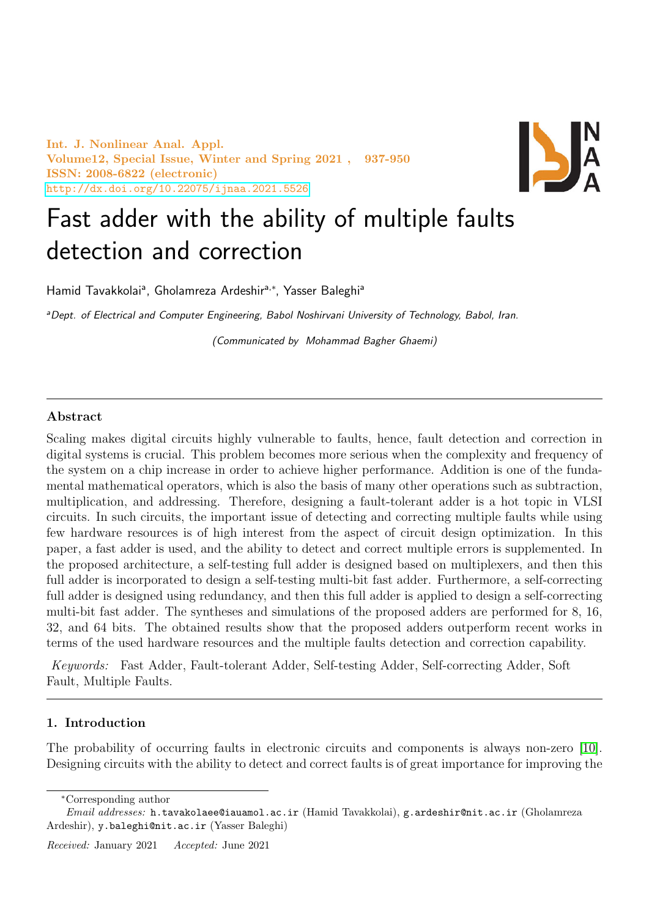Int. J. Nonlinear Anal. Appl. Volume12, Special Issue, Winter and Spring 2021 , 937-950 ISSN: 2008-6822 (electronic) <http://dx.doi.org/10.22075/ijnaa.2021.5526>



# Fast adder with the ability of multiple faults detection and correction

Hamid Tavakkolaiª, Gholamreza Ardeshir<sup>a,\*</sup>, Yasser Baleghiª

aDept. of Electrical and Computer Engineering, Babol Noshirvani University of Technology, Babol, Iran.

(Communicated by Mohammad Bagher Ghaemi)

## Abstract

Scaling makes digital circuits highly vulnerable to faults, hence, fault detection and correction in digital systems is crucial. This problem becomes more serious when the complexity and frequency of the system on a chip increase in order to achieve higher performance. Addition is one of the fundamental mathematical operators, which is also the basis of many other operations such as subtraction, multiplication, and addressing. Therefore, designing a fault-tolerant adder is a hot topic in VLSI circuits. In such circuits, the important issue of detecting and correcting multiple faults while using few hardware resources is of high interest from the aspect of circuit design optimization. In this paper, a fast adder is used, and the ability to detect and correct multiple errors is supplemented. In the proposed architecture, a self-testing full adder is designed based on multiplexers, and then this full adder is incorporated to design a self-testing multi-bit fast adder. Furthermore, a self-correcting full adder is designed using redundancy, and then this full adder is applied to design a self-correcting multi-bit fast adder. The syntheses and simulations of the proposed adders are performed for 8, 16, 32, and 64 bits. The obtained results show that the proposed adders outperform recent works in terms of the used hardware resources and the multiple faults detection and correction capability.

Keywords: Fast Adder, Fault-tolerant Adder, Self-testing Adder, Self-correcting Adder, Soft Fault, Multiple Faults.

#### 1. Introduction

The probability of occurring faults in electronic circuits and components is always non-zero [\[10\]](#page-12-0). Designing circuits with the ability to detect and correct faults is of great importance for improving the

<sup>∗</sup>Corresponding author

Email addresses: h.tavakolaee@iauamol.ac.ir (Hamid Tavakkolai), g.ardeshir@nit.ac.ir (Gholamreza Ardeshir), y.baleghi@nit.ac.ir (Yasser Baleghi)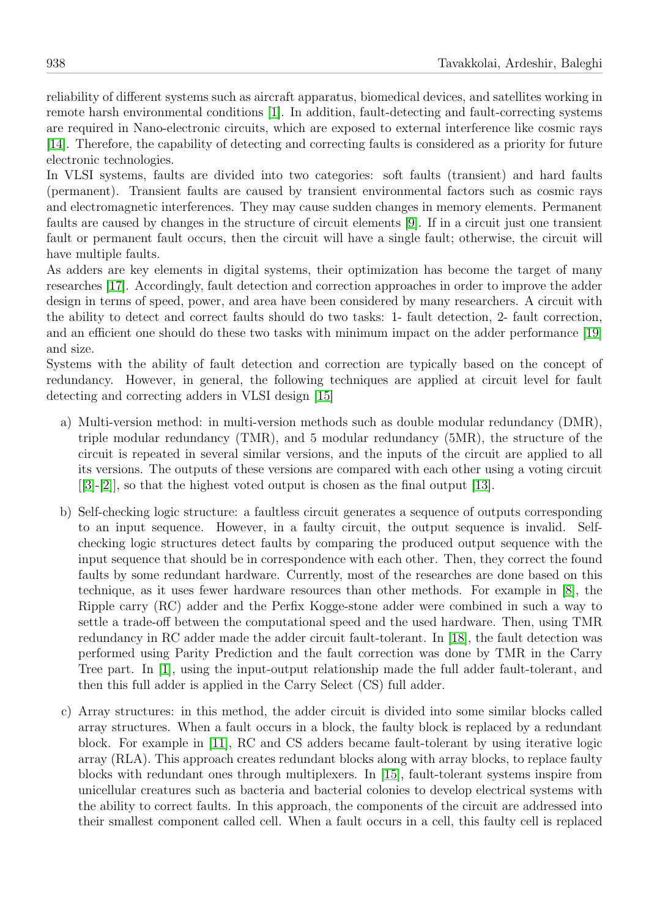reliability of different systems such as aircraft apparatus, biomedical devices, and satellites working in remote harsh environmental conditions [\[1\]](#page-12-1). In addition, fault-detecting and fault-correcting systems are required in Nano-electronic circuits, which are exposed to external interference like cosmic rays [\[14\]](#page-12-2). Therefore, the capability of detecting and correcting faults is considered as a priority for future electronic technologies.

In VLSI systems, faults are divided into two categories: soft faults (transient) and hard faults (permanent). Transient faults are caused by transient environmental factors such as cosmic rays and electromagnetic interferences. They may cause sudden changes in memory elements. Permanent faults are caused by changes in the structure of circuit elements [\[9\]](#page-12-3). If in a circuit just one transient fault or permanent fault occurs, then the circuit will have a single fault; otherwise, the circuit will have multiple faults.

As adders are key elements in digital systems, their optimization has become the target of many researches [\[17\]](#page-12-4). Accordingly, fault detection and correction approaches in order to improve the adder design in terms of speed, power, and area have been considered by many researchers. A circuit with the ability to detect and correct faults should do two tasks: 1- fault detection, 2- fault correction, and an efficient one should do these two tasks with minimum impact on the adder performance [\[19\]](#page-13-0) and size.

Systems with the ability of fault detection and correction are typically based on the concept of redundancy. However, in general, the following techniques are applied at circuit level for fault detecting and correcting adders in VLSI design [\[15\]](#page-12-5)

- a) Multi-version method: in multi-version methods such as double modular redundancy (DMR), triple modular redundancy (TMR), and 5 modular redundancy (5MR), the structure of the circuit is repeated in several similar versions, and the inputs of the circuit are applied to all its versions. The outputs of these versions are compared with each other using a voting circuit [[\[3\]](#page-12-6)-[\[2\]](#page-12-7)], so that the highest voted output is chosen as the final output [\[13\]](#page-12-8).
- b) Self-checking logic structure: a faultless circuit generates a sequence of outputs corresponding to an input sequence. However, in a faulty circuit, the output sequence is invalid. Selfchecking logic structures detect faults by comparing the produced output sequence with the input sequence that should be in correspondence with each other. Then, they correct the found faults by some redundant hardware. Currently, most of the researches are done based on this technique, as it uses fewer hardware resources than other methods. For example in [\[8\]](#page-12-9), the Ripple carry (RC) adder and the Perfix Kogge-stone adder were combined in such a way to settle a trade-off between the computational speed and the used hardware. Then, using TMR redundancy in RC adder made the adder circuit fault-tolerant. In [\[18\]](#page-13-1), the fault detection was performed using Parity Prediction and the fault correction was done by TMR in the Carry Tree part. In [\[1\]](#page-12-1), using the input-output relationship made the full adder fault-tolerant, and then this full adder is applied in the Carry Select (CS) full adder.
- c) Array structures: in this method, the adder circuit is divided into some similar blocks called array structures. When a fault occurs in a block, the faulty block is replaced by a redundant block. For example in [\[11\]](#page-12-10), RC and CS adders became fault-tolerant by using iterative logic array (RLA). This approach creates redundant blocks along with array blocks, to replace faulty blocks with redundant ones through multiplexers. In [\[15\]](#page-12-5), fault-tolerant systems inspire from unicellular creatures such as bacteria and bacterial colonies to develop electrical systems with the ability to correct faults. In this approach, the components of the circuit are addressed into their smallest component called cell. When a fault occurs in a cell, this faulty cell is replaced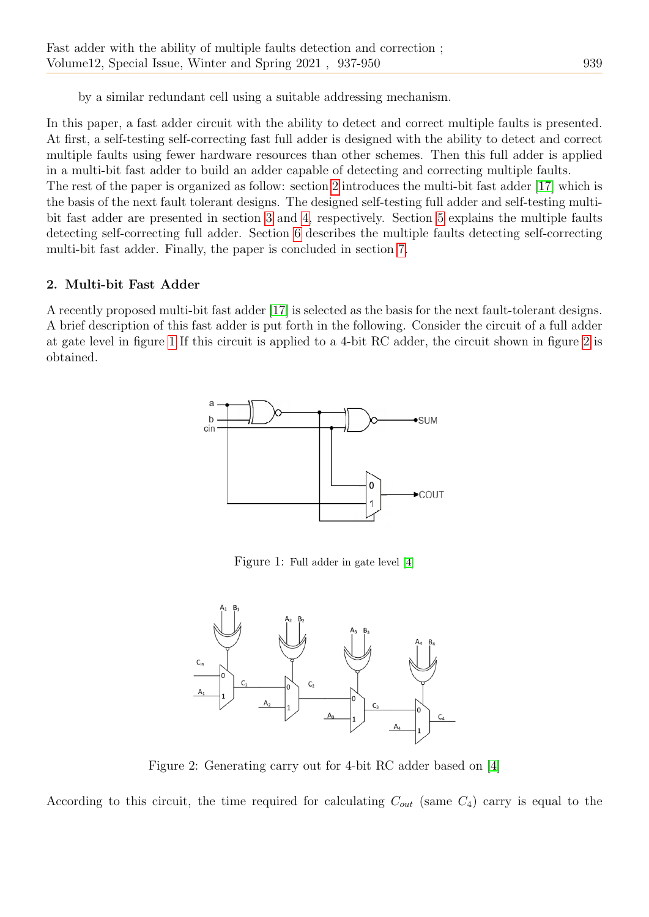by a similar redundant cell using a suitable addressing mechanism.

In this paper, a fast adder circuit with the ability to detect and correct multiple faults is presented. At first, a self-testing self-correcting fast full adder is designed with the ability to detect and correct multiple faults using fewer hardware resources than other schemes. Then this full adder is applied in a multi-bit fast adder to build an adder capable of detecting and correcting multiple faults. The rest of the paper is organized as follow: section [2](#page-2-0) introduces the multi-bit fast adder [\[17\]](#page-12-4) which is the basis of the next fault tolerant designs. The designed self-testing full adder and self-testing multibit fast adder are presented in section [3](#page-5-0) and [4,](#page-7-0) respectively. Section [5](#page-8-0) explains the multiple faults detecting self-correcting full adder. Section [6](#page-9-0) describes the multiple faults detecting self-correcting multi-bit fast adder. Finally, the paper is concluded in section [7.](#page-10-0)

# <span id="page-2-0"></span>2. Multi-bit Fast Adder

<span id="page-2-1"></span>A recently proposed multi-bit fast adder [\[17\]](#page-12-4) is selected as the basis for the next fault-tolerant designs. A brief description of this fast adder is put forth in the following. Consider the circuit of a full adder at gate level in figure [1](#page-2-1) If this circuit is applied to a 4-bit RC adder, the circuit shown in figure [2](#page-2-2) is obtained.



Figure 1: Full adder in gate level [\[4\]](#page-12-11)

<span id="page-2-2"></span>

Figure 2: Generating carry out for 4-bit RC adder based on [\[4\]](#page-12-11)

According to this circuit, the time required for calculating  $C_{out}$  (same  $C_4$ ) carry is equal to the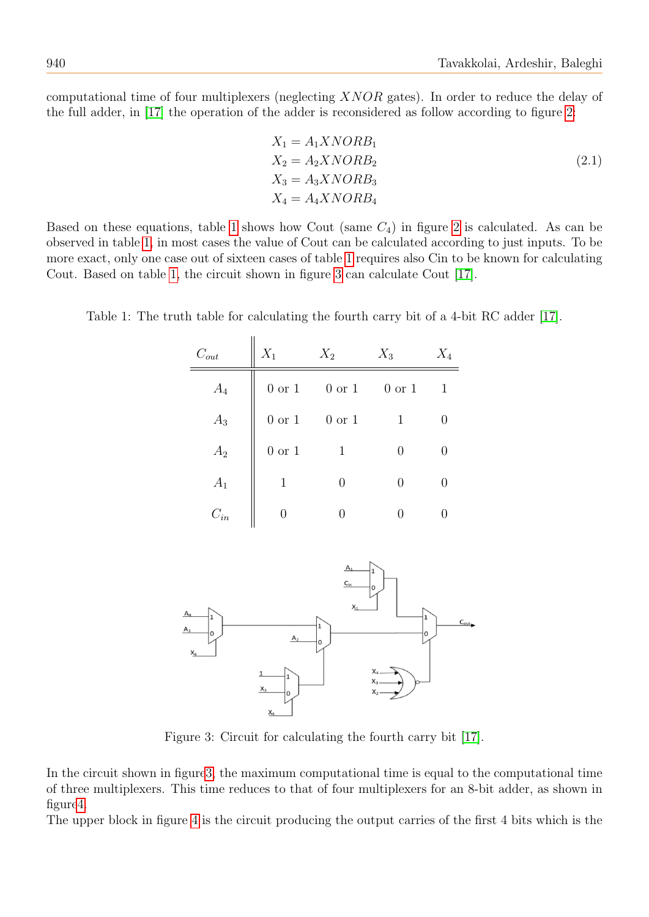computational time of four multiplexers (neglecting XNOR gates). In order to reduce the delay of the full adder, in [\[17\]](#page-12-4) the operation of the adder is reconsidered as follow according to figure [2:](#page-2-2)

$$
X_1 = A_1 X NORB_1
$$
  
\n
$$
X_2 = A_2 X NORB_2
$$
  
\n
$$
X_3 = A_3 X NORB_3
$$
  
\n
$$
X_4 = A_4 X NORB_4
$$
  
\n(2.1)

Based on these equations, table [1](#page-3-0) shows how Cout (same  $C_4$ ) in figure [2](#page-2-2) is calculated. As can be observed in table [1,](#page-3-0) in most cases the value of Cout can be calculated according to just inputs. To be more exact, only one case out of sixteen cases of table [1](#page-3-0) requires also Cin to be known for calculating Cout. Based on table [1,](#page-3-0) the circuit shown in figure [3](#page-3-1) can calculate Cout [\[17\]](#page-12-4).

| $C_{out}$ | $X_1$             | $X_2$             | $X_3$             | $X_4$ |
|-----------|-------------------|-------------------|-------------------|-------|
| $A_4$     | $0 \text{ or } 1$ | $0 \text{ or } 1$ | $0 \text{ or } 1$ | 1     |
| $A_3$     | $0 \text{ or } 1$ | 0 or 1            | 1                 |       |
| $A_2$     | $0 \text{ or } 1$ | 1                 | 0                 |       |
| $A_1$     | 1                 | 0                 | 0                 | U     |
| $C_{in}$  |                   |                   |                   |       |

<span id="page-3-0"></span>Table 1: The truth table for calculating the fourth carry bit of a 4-bit RC adder [\[17\]](#page-12-4).

<span id="page-3-1"></span>

Figure 3: Circuit for calculating the fourth carry bit [\[17\]](#page-12-4).

In the circuit shown in figur[e3,](#page-3-1) the maximum computational time is equal to the computational time of three multiplexers. This time reduces to that of four multiplexers for an 8-bit adder, as shown in figur[e4.](#page-4-0)

The upper block in figure [4](#page-4-0) is the circuit producing the output carries of the first 4 bits which is the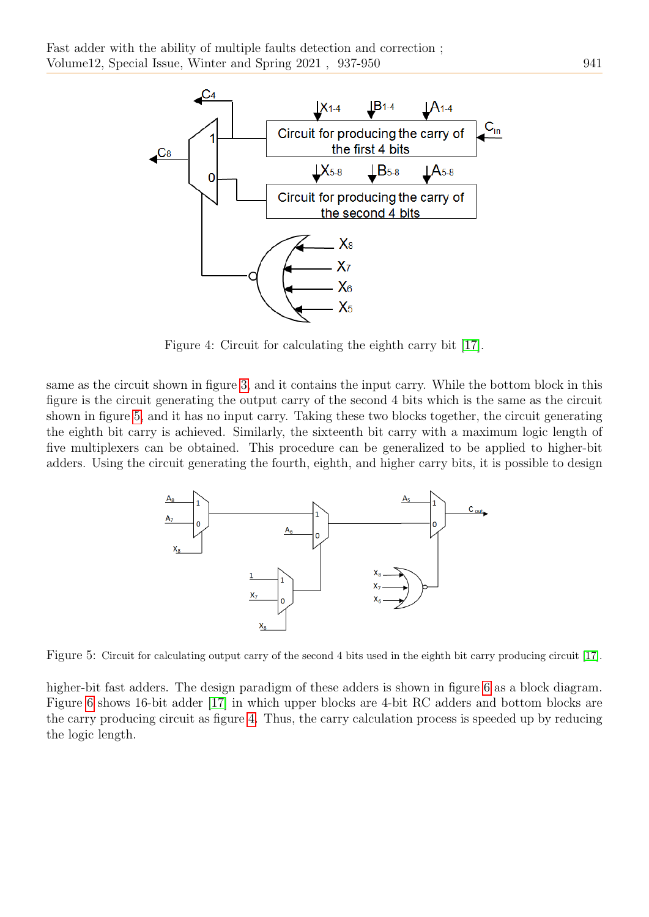<span id="page-4-0"></span>

Figure 4: Circuit for calculating the eighth carry bit [\[17\]](#page-12-4).

<span id="page-4-1"></span>same as the circuit shown in figure [3,](#page-3-1) and it contains the input carry. While the bottom block in this figure is the circuit generating the output carry of the second 4 bits which is the same as the circuit shown in figure [5,](#page-4-1) and it has no input carry. Taking these two blocks together, the circuit generating the eighth bit carry is achieved. Similarly, the sixteenth bit carry with a maximum logic length of five multiplexers can be obtained. This procedure can be generalized to be applied to higher-bit adders. Using the circuit generating the fourth, eighth, and higher carry bits, it is possible to design



Figure 5: Circuit for calculating output carry of the second 4 bits used in the eighth bit carry producing circuit [\[17\]](#page-12-4).

higher-bit fast adders. The design paradigm of these adders is shown in figure [6](#page-5-1) as a block diagram. Figure [6](#page-5-1) shows 16-bit adder [\[17\]](#page-12-4) in which upper blocks are 4-bit RC adders and bottom blocks are the carry producing circuit as figure [4.](#page-4-0) Thus, the carry calculation process is speeded up by reducing the logic length.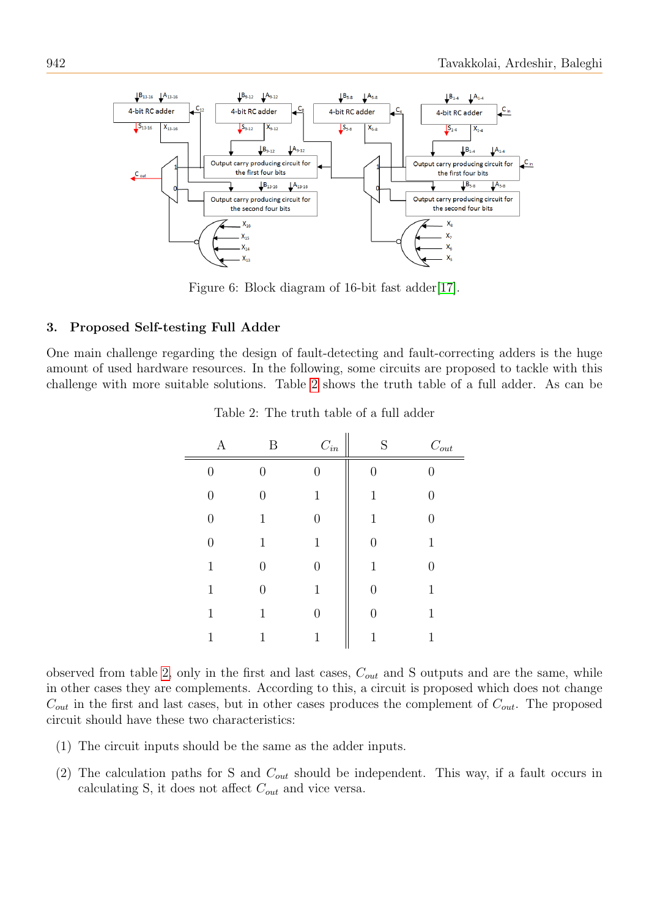<span id="page-5-1"></span>

Figure 6: Block diagram of 16-bit fast adder [\[17\]](#page-12-4).

## <span id="page-5-0"></span>3. Proposed Self-testing Full Adder

<span id="page-5-2"></span>One main challenge regarding the design of fault-detecting and fault-correcting adders is the huge amount of used hardware resources. In the following, some circuits are proposed to tackle with this challenge with more suitable solutions. Table [2](#page-5-2) shows the truth table of a full adder. As can be

|                  | Β                | $\mathcal{C}_{in}$ | S             | $\mathcal{C}_{out}$ |
|------------------|------------------|--------------------|---------------|---------------------|
| $\overline{0}$   | $\overline{0}$   | 0                  | 0             | 0                   |
| $\overline{0}$   | $\overline{0}$   | 1                  | 1             | 0                   |
| $\overline{0}$   | 1                | $\left( \right)$   | 1             | 0                   |
| $\boldsymbol{0}$ | 1                | 1                  | O             | 1                   |
| 1                | $\overline{0}$   | 0                  | 1             | 0                   |
| 1                | $\boldsymbol{0}$ | 1                  | $\mathcal{O}$ | 1                   |
| $\mathbf{1}$     | 1                | 0                  | $\mathbf{0}$  | 1                   |
| 1                | 1                | 1                  | 1             | 1                   |

Table 2: The truth table of a full adder

 $\overline{11}$ 

observed from table [2,](#page-5-2) only in the first and last cases,  $C_{out}$  and S outputs and are the same, while in other cases they are complements. According to this, a circuit is proposed which does not change  $C_{out}$  in the first and last cases, but in other cases produces the complement of  $C_{out}$ . The proposed circuit should have these two characteristics:

- (1) The circuit inputs should be the same as the adder inputs.
- (2) The calculation paths for S and  $C_{out}$  should be independent. This way, if a fault occurs in calculating S, it does not affect  $C_{out}$  and vice versa.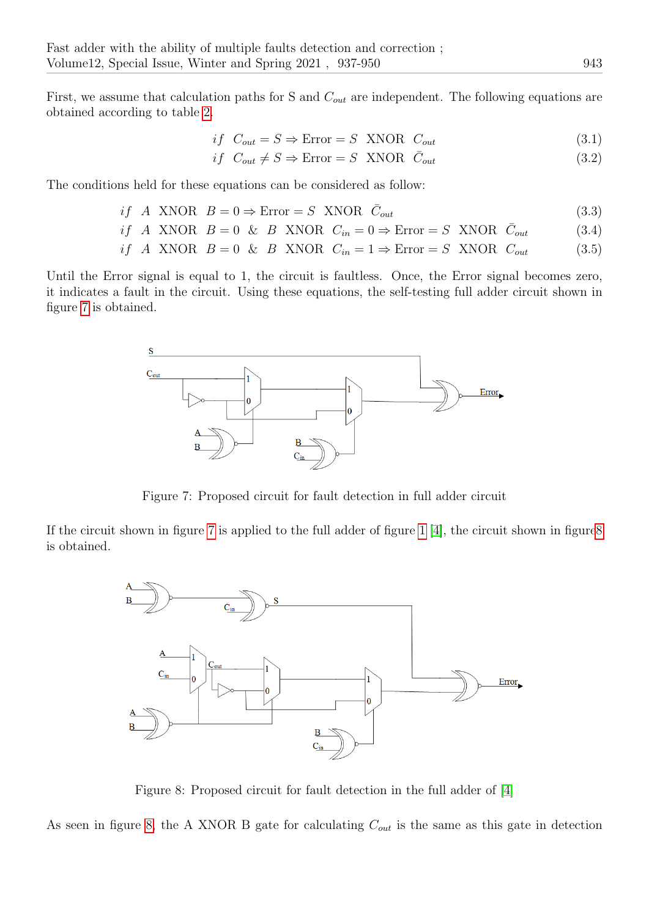First, we assume that calculation paths for S and  $C_{out}$  are independent. The following equations are obtained according to table [2.](#page-5-2)

$$
if C_{out} = S \Rightarrow \text{Error} = S \quad \text{XNOR} \quad C_{out} \tag{3.1}
$$

$$
if C_{out} \neq S \Rightarrow \text{Error} = S \quad \text{XNOR} \quad \bar{C}_{out} \tag{3.2}
$$

The conditions held for these equations can be considered as follow:

$$
if A \text{ XNOR } B = 0 \Rightarrow \text{Error} = S \text{ XNOR } \bar{C}_{out} \tag{3.3}
$$

if A XNOR  $B = 0$  & B XNOR  $C_{in} = 0 \Rightarrow$  Error = S XNOR  $\bar{C}_{out}$  $(3.4)$ 

$$
if A XNOR B = 0 & B XNOR C_{in} = 1 \Rightarrow Error = S XNOR C_{out} \tag{3.5}
$$

<span id="page-6-0"></span>Until the Error signal is equal to 1, the circuit is faultless. Once, the Error signal becomes zero, it indicates a fault in the circuit. Using these equations, the self-testing full adder circuit shown in figure [7](#page-6-0) is obtained.



Figure 7: Proposed circuit for fault detection in full adder circuit

<span id="page-6-1"></span>If the circuit shown in figure [7](#page-6-0) is applied to the full adder of figure [1](#page-2-1) [\[4\]](#page-12-11), the circuit shown in figur[e8](#page-6-1) is obtained.



Figure 8: Proposed circuit for fault detection in the full adder of [\[4\]](#page-12-11)

As seen in figure [8,](#page-6-1) the A XNOR B gate for calculating  $C_{out}$  is the same as this gate in detection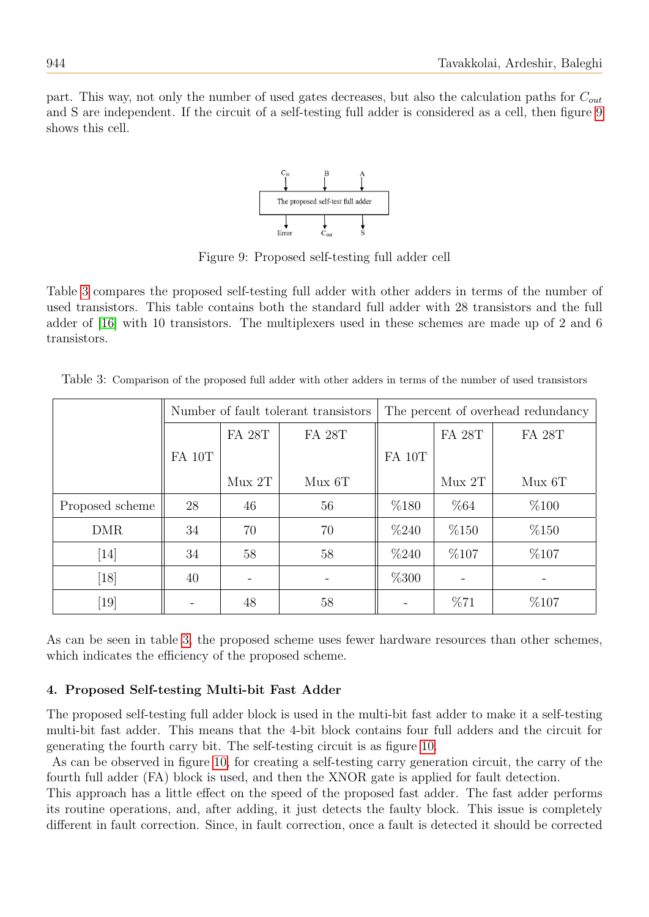<span id="page-7-1"></span>part. This way, not only the number of used gates decreases, but also the calculation paths for  $C_{out}$ and S are independent. If the circuit of a self-testing full adder is considered as a cell, then figure [9](#page-7-1) shows this cell.



Figure 9: Proposed self-testing full adder cell

Table [3](#page-7-2) compares the proposed self-testing full adder with other adders in terms of the number of used transistors. This table contains both the standard full adder with 28 transistors and the full adder of [\[16\]](#page-12-12) with 10 transistors. The multiplexers used in these schemes are made up of 2 and 6 transistors.

<span id="page-7-2"></span>Table 3: Comparison of the proposed full adder with other adders in terms of the number of used transistors

|                 | Number of fault tolerant transistors |               |               | The percent of overhead redundancy |               |               |
|-----------------|--------------------------------------|---------------|---------------|------------------------------------|---------------|---------------|
|                 |                                      | <b>FA 28T</b> | <b>FA 28T</b> |                                    | <b>FA 28T</b> | <b>FA 28T</b> |
|                 | FA 10T                               |               |               | <b>FA 10T</b>                      |               |               |
|                 |                                      | Mux 2T        | $Mux$ 6T      |                                    | Mux 2T        | $Mux$ 6T      |
| Proposed scheme | 28                                   | 46            | 56            | %180                               | %64           | %100          |
| <b>DMR</b>      | 34                                   | 70            | 70            | %240                               | %150          | %150          |
| $[14]$          | 34                                   | 58            | 58            | %240                               | %107          | %107          |
| [18]            | 40                                   |               |               | %300                               |               |               |
| [19]            |                                      | 48            | 58            |                                    | %71           | %107          |

As can be seen in table [3,](#page-7-2) the proposed scheme uses fewer hardware resources than other schemes, which indicates the efficiency of the proposed scheme.

## <span id="page-7-0"></span>4. Proposed Self-testing Multi-bit Fast Adder

The proposed self-testing full adder block is used in the multi-bit fast adder to make it a self-testing multi-bit fast adder. This means that the 4-bit block contains four full adders and the circuit for generating the fourth carry bit. The self-testing circuit is as figure [10.](#page-8-1)

As can be observed in figure [10,](#page-8-1) for creating a self-testing carry generation circuit, the carry of the fourth full adder (FA) block is used, and then the XNOR gate is applied for fault detection.

This approach has a little effect on the speed of the proposed fast adder. The fast adder performs its routine operations, and, after adding, it just detects the faulty block. This issue is completely different in fault correction. Since, in fault correction, once a fault is detected it should be corrected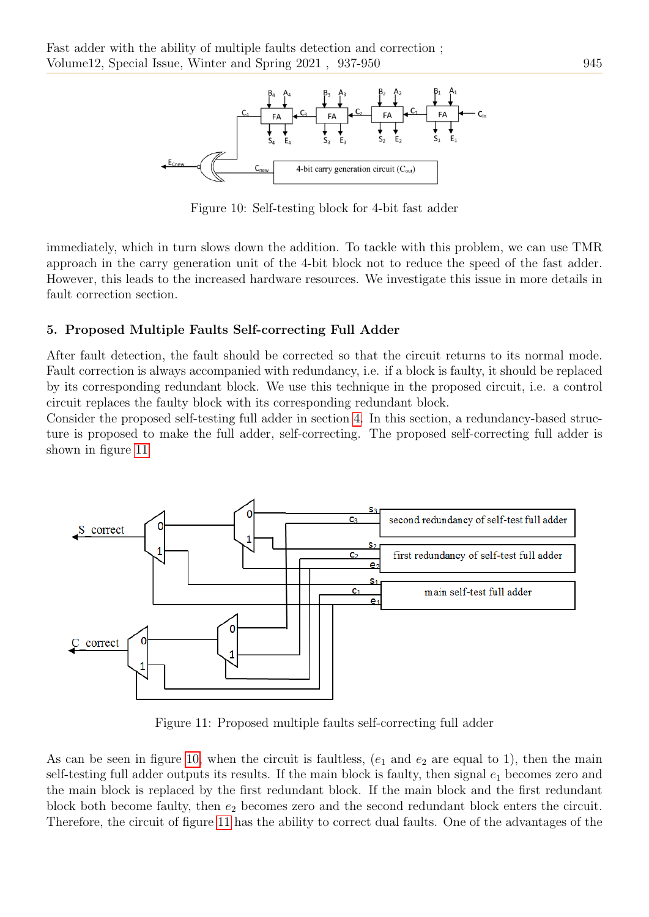<span id="page-8-1"></span>

Figure 10: Self-testing block for 4-bit fast adder

immediately, which in turn slows down the addition. To tackle with this problem, we can use TMR approach in the carry generation unit of the 4-bit block not to reduce the speed of the fast adder. However, this leads to the increased hardware resources. We investigate this issue in more details in fault correction section.

## <span id="page-8-0"></span>5. Proposed Multiple Faults Self-correcting Full Adder

After fault detection, the fault should be corrected so that the circuit returns to its normal mode. Fault correction is always accompanied with redundancy, i.e. if a block is faulty, it should be replaced by its corresponding redundant block. We use this technique in the proposed circuit, i.e. a control circuit replaces the faulty block with its corresponding redundant block.

Consider the proposed self-testing full adder in section [4.](#page-7-0) In this section, a redundancy-based structure is proposed to make the full adder, self-correcting. The proposed self-correcting full adder is shown in figure [11](#page-8-2)

<span id="page-8-2"></span>

Figure 11: Proposed multiple faults self-correcting full adder

As can be seen in figure [10,](#page-8-1) when the circuit is faultless,  $(e_1$  and  $e_2$  are equal to 1), then the main self-testing full adder outputs its results. If the main block is faulty, then signal  $e_1$  becomes zero and the main block is replaced by the first redundant block. If the main block and the first redundant block both become faulty, then  $e_2$  becomes zero and the second redundant block enters the circuit. Therefore, the circuit of figure [11](#page-8-2) has the ability to correct dual faults. One of the advantages of the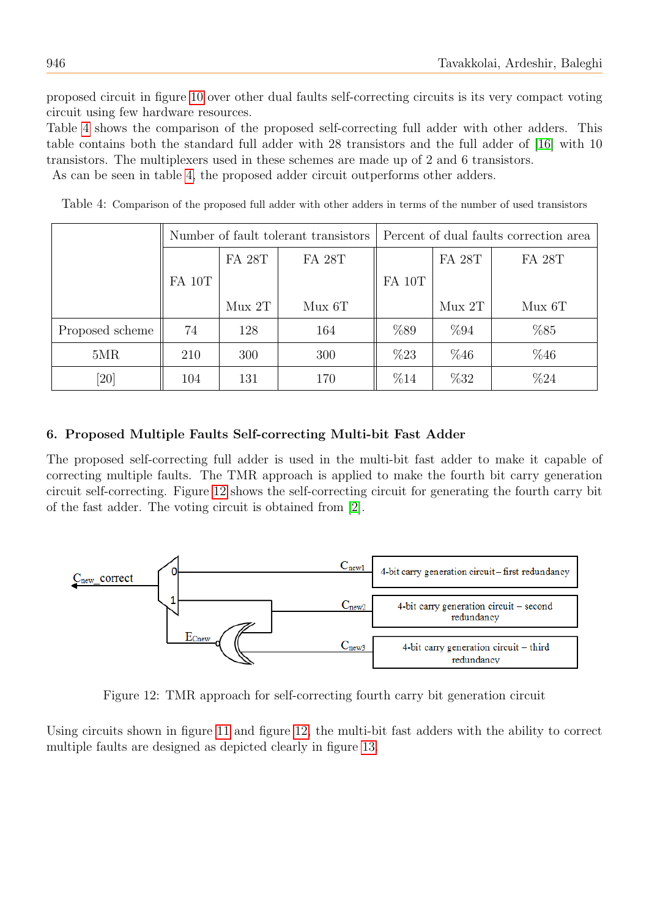proposed circuit in figure [10](#page-8-1) over other dual faults self-correcting circuits is its very compact voting circuit using few hardware resources.

Table [4](#page-9-1) shows the comparison of the proposed self-correcting full adder with other adders. This table contains both the standard full adder with 28 transistors and the full adder of [\[16\]](#page-12-12) with 10 transistors. The multiplexers used in these schemes are made up of 2 and 6 transistors. As can be seen in table [4,](#page-9-1) the proposed adder circuit outperforms other adders.

<span id="page-9-1"></span>Table 4: Comparison of the proposed full adder with other adders in terms of the number of used transistors

|                    | Number of fault tolerant transistors |               |               | Percent of dual faults correction area |               |               |  |  |
|--------------------|--------------------------------------|---------------|---------------|----------------------------------------|---------------|---------------|--|--|
|                    |                                      | <b>FA 28T</b> | <b>FA 28T</b> |                                        | <b>FA 28T</b> | <b>FA 28T</b> |  |  |
|                    | FA 10T                               |               |               | FA 10T                                 |               |               |  |  |
|                    |                                      | Mux 2T        | $Mux$ 6T      |                                        | Mux 2T        | $Mux$ 6T      |  |  |
| Proposed scheme    | 74                                   | 128           | 164           | %89                                    | %94           | %85           |  |  |
| 5MR                | 210                                  | 300           | 300           | %23                                    | %46           | %46           |  |  |
| $\left[ 20\right]$ | 104                                  | 131           | 170           | %14                                    | %32           | %24           |  |  |

#### <span id="page-9-0"></span>6. Proposed Multiple Faults Self-correcting Multi-bit Fast Adder

The proposed self-correcting full adder is used in the multi-bit fast adder to make it capable of correcting multiple faults. The TMR approach is applied to make the fourth bit carry generation circuit self-correcting. Figure [12](#page-9-2) shows the self-correcting circuit for generating the fourth carry bit of the fast adder. The voting circuit is obtained from [\[2\]](#page-12-7).

<span id="page-9-2"></span>

Figure 12: TMR approach for self-correcting fourth carry bit generation circuit

Using circuits shown in figure [11](#page-8-2) and figure [12,](#page-9-2) the multi-bit fast adders with the ability to correct multiple faults are designed as depicted clearly in figure [13.](#page-10-1)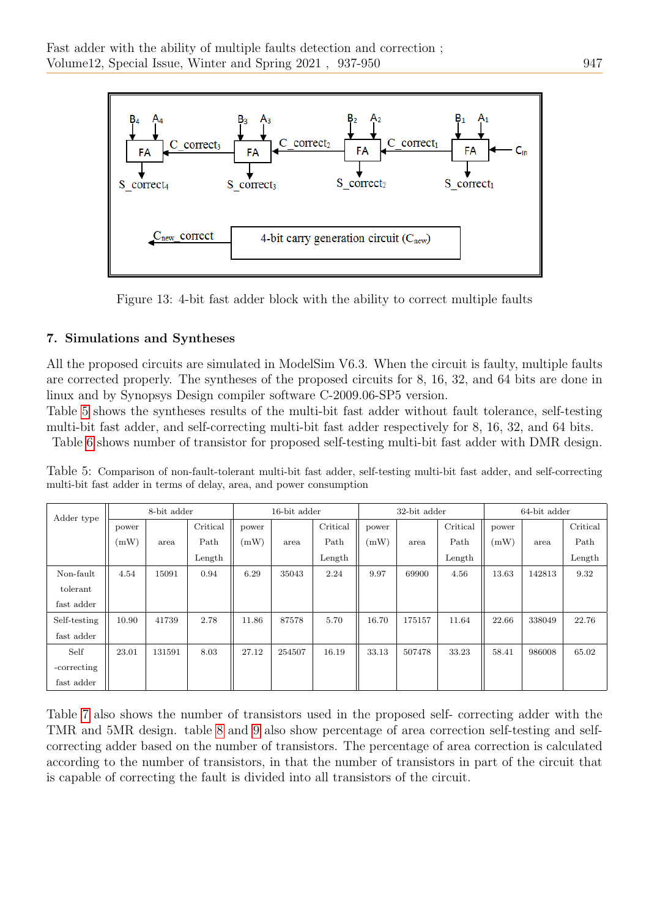<span id="page-10-1"></span>

Figure 13: 4-bit fast adder block with the ability to correct multiple faults

## <span id="page-10-0"></span>7. Simulations and Syntheses

All the proposed circuits are simulated in ModelSim V6.3. When the circuit is faulty, multiple faults are corrected properly. The syntheses of the proposed circuits for 8, 16, 32, and 64 bits are done in linux and by Synopsys Design compiler software C-2009.06-SP5 version.

Table [5](#page-10-2) shows the syntheses results of the multi-bit fast adder without fault tolerance, self-testing multi-bit fast adder, and self-correcting multi-bit fast adder respectively for 8, 16, 32, and 64 bits.

Table [6](#page-11-0) shows number of transistor for proposed self-testing multi-bit fast adder with DMR design.

<span id="page-10-2"></span>

|  | Table 5: Comparison of non-fault-tolerant multi-bit fast adder, self-testing multi-bit fast adder, and self-correcting |  |  |  |  |
|--|------------------------------------------------------------------------------------------------------------------------|--|--|--|--|
|  | multi-bit fast adder in terms of delay, area, and power consumption                                                    |  |  |  |  |

| Adder type   |       | 8-bit adder |          |       | 16-bit adder |          |       | 32-bit adder |          |       | 64-bit adder |          |
|--------------|-------|-------------|----------|-------|--------------|----------|-------|--------------|----------|-------|--------------|----------|
|              | power |             | Critical | power |              | Critical | power |              | Critical | power |              | Critical |
|              | (mW)  | area        | Path     | (mW)  | area         | Path     | (mW)  | area         | Path     | (mW)  | area         | Path     |
|              |       |             | Length   |       |              | Length   |       |              | Length   |       |              | Length   |
| Non-fault    | 4.54  | 15091       | 0.94     | 6.29  | 35043        | 2.24     | 9.97  | 69900        | 4.56     | 13.63 | 142813       | 9.32     |
| tolerant     |       |             |          |       |              |          |       |              |          |       |              |          |
| fast adder   |       |             |          |       |              |          |       |              |          |       |              |          |
| Self-testing | 10.90 | 41739       | 2.78     | 11.86 | 87578        | 5.70     | 16.70 | 175157       | 11.64    | 22.66 | 338049       | 22.76    |
| fast adder   |       |             |          |       |              |          |       |              |          |       |              |          |
| Self         | 23.01 | 131591      | 8.03     | 27.12 | 254507       | 16.19    | 33.13 | 507478       | 33.23    | 58.41 | 986008       | 65.02    |
| -correcting  |       |             |          |       |              |          |       |              |          |       |              |          |
| fast adder   |       |             |          |       |              |          |       |              |          |       |              |          |

Table [7](#page-11-1) also shows the number of transistors used in the proposed self- correcting adder with the TMR and 5MR design. table [8](#page-11-2) and [9](#page-11-3) also show percentage of area correction self-testing and selfcorrecting adder based on the number of transistors. The percentage of area correction is calculated according to the number of transistors, in that the number of transistors in part of the circuit that is capable of correcting the fault is divided into all transistors of the circuit.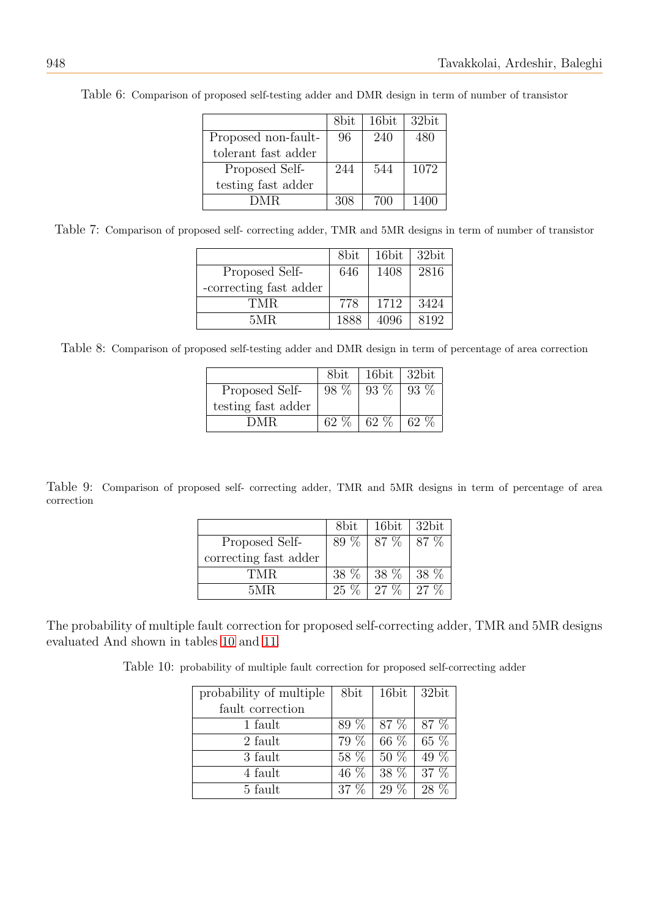|                     | 8bit. | 16bit | 32bit |
|---------------------|-------|-------|-------|
| Proposed non-fault- | 96    | 240   | 480   |
| tolerant fast adder |       |       |       |
| Proposed Self-      | 244   | 544   | 1072  |
| testing fast adder  |       |       |       |
| DMR.                | 308   | 700   | 1400  |
|                     |       |       |       |

<span id="page-11-0"></span>Table 6: Comparison of proposed self-testing adder and DMR design in term of number of transistor

<span id="page-11-1"></span>Table 7: Comparison of proposed self- correcting adder, TMR and 5MR designs in term of number of transistor

|                        | 8bit | 16bit | 32bit |
|------------------------|------|-------|-------|
| Proposed Self-         | 646  | 1408  | 2816  |
| -correcting fast adder |      |       |       |
| TMR.                   | 778  | 1712  | 3424  |
| 5MR.                   | 1888 | 4096  | 8192  |

<span id="page-11-2"></span>Table 8: Comparison of proposed self-testing adder and DMR design in term of percentage of area correction

|                    | 8bit.   | 16bit  | 32bit |
|--------------------|---------|--------|-------|
| Proposed Self-     | $98\%$  | 93 %   | 93 %  |
| testing fast adder |         |        |       |
| DMR.               | 62 $\%$ | $62\%$ | 62 %  |

<span id="page-11-3"></span>Table 9: Comparison of proposed self- correcting adder, TMR and 5MR designs in term of percentage of area correction

|                       | 8bit | 16bit                    | 32bit |
|-----------------------|------|--------------------------|-------|
| Proposed Self-        |      | $89\%$   $87\%$   $87\%$ |       |
| correcting fast adder |      |                          |       |
| TMR.                  |      | 38 % 38 % 38 %           |       |
| 5MR.                  |      | $25\%$   27 %   27 %     |       |

<span id="page-11-4"></span>The probability of multiple fault correction for proposed self-correcting adder, TMR and 5MR designs evaluated And shown in tables [10](#page-11-4) and [11.](#page-12-13)

Table 10: probability of multiple fault correction for proposed self-correcting adder

| probability of multiple | 8bit   | 16bit  | 32bit   |
|-------------------------|--------|--------|---------|
| fault correction        |        |        |         |
| 1 fault                 | 89 %   | 87 %   | 87 %    |
| 2 fault                 | 79 %   | $66\%$ | $65\%$  |
| 3 fault                 | 58 %   | $50\%$ | 49 %    |
| 4 fault                 | $46\%$ | 38 %   | $37 \%$ |
| 5 fault                 | $37\%$ | $29\%$ | 28 %    |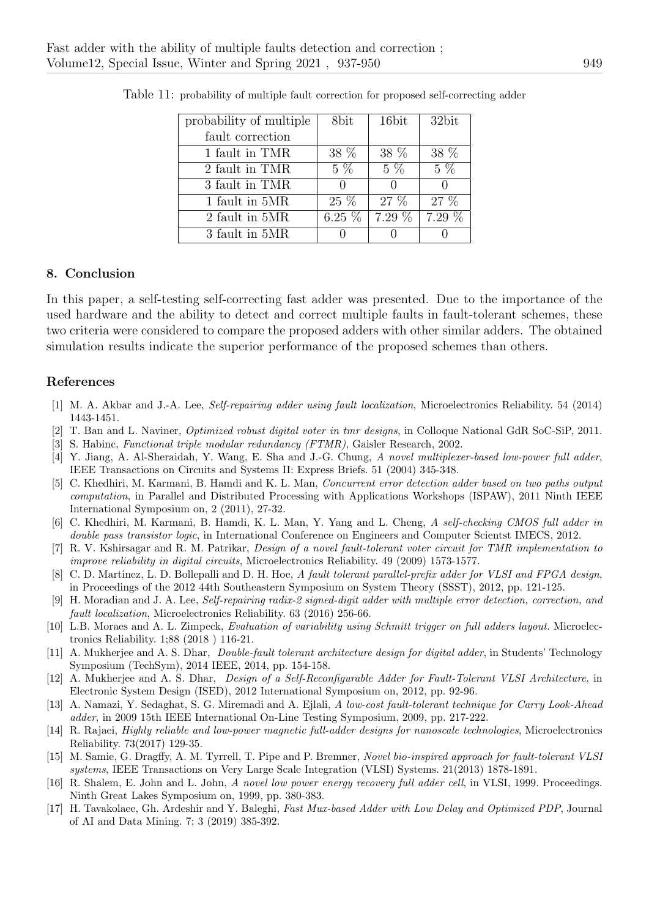| probability of multiple | 8bit             | 16bit    | 32bit    |
|-------------------------|------------------|----------|----------|
| fault correction        |                  |          |          |
| 1 fault in TMR          | 38 %             | 38 %     | 38 %     |
| 2 fault in TMR          | $5\%$            | $5\%$    | $5\%$    |
| 3 fault in TMR          | $\left( \right)$ |          |          |
| 1 fault in 5MR          | 25 %             | $27 \%$  | $27\%$   |
| 2 fault in 5MR          | $6.25\%$         | $7.29\%$ | $7.29\%$ |
| 3 fault in 5MR          |                  |          |          |

<span id="page-12-13"></span>Table 11: probability of multiple fault correction for proposed self-correcting adder

#### 8. Conclusion

In this paper, a self-testing self-correcting fast adder was presented. Due to the importance of the used hardware and the ability to detect and correct multiple faults in fault-tolerant schemes, these two criteria were considered to compare the proposed adders with other similar adders. The obtained simulation results indicate the superior performance of the proposed schemes than others.

#### References

- <span id="page-12-1"></span>[1] M. A. Akbar and J.-A. Lee, Self-repairing adder using fault localization, Microelectronics Reliability. 54 (2014) 1443-1451.
- <span id="page-12-7"></span>[2] T. Ban and L. Naviner, Optimized robust digital voter in tmr designs, in Colloque National GdR SoC-SiP, 2011.
- <span id="page-12-6"></span>[3] S. Habinc, Functional triple modular redundancy (FTMR), Gaisler Research, 2002.
- <span id="page-12-11"></span>[4] Y. Jiang, A. Al-Sheraidah, Y. Wang, E. Sha and J.-G. Chung, A novel multiplexer-based low-power full adder, IEEE Transactions on Circuits and Systems II: Express Briefs. 51 (2004) 345-348.
- [5] C. Khedhiri, M. Karmani, B. Hamdi and K. L. Man, Concurrent error detection adder based on two paths output computation, in Parallel and Distributed Processing with Applications Workshops (ISPAW), 2011 Ninth IEEE International Symposium on, 2 (2011), 27-32.
- [6] C. Khedhiri, M. Karmani, B. Hamdi, K. L. Man, Y. Yang and L. Cheng, A self-checking CMOS full adder in double pass transistor logic, in International Conference on Engineers and Computer Scientst IMECS, 2012.
- [7] R. V. Kshirsagar and R. M. Patrikar, Design of a novel fault-tolerant voter circuit for TMR implementation to improve reliability in digital circuits, Microelectronics Reliability. 49 (2009) 1573-1577.
- <span id="page-12-9"></span>[8] C. D. Martinez, L. D. Bollepalli and D. H. Hoe, A fault tolerant parallel-prefix adder for VLSI and FPGA design, in Proceedings of the 2012 44th Southeastern Symposium on System Theory (SSST), 2012, pp. 121-125.
- <span id="page-12-3"></span>[9] H. Moradian and J. A. Lee, Self-repairing radix-2 signed-digit adder with multiple error detection, correction, and fault localization, Microelectronics Reliability. 63 (2016) 256-66.
- <span id="page-12-0"></span>[10] L.B. Moraes and A. L. Zimpeck, Evaluation of variability using Schmitt trigger on full adders layout. Microelectronics Reliability. 1;88 (2018 ) 116-21.
- <span id="page-12-10"></span>[11] A. Mukherjee and A. S. Dhar, Double-fault tolerant architecture design for digital adder, in Students' Technology Symposium (TechSym), 2014 IEEE, 2014, pp. 154-158.
- [12] A. Mukherjee and A. S. Dhar, *Design of a Self-Reconfigurable Adder for Fault-Tolerant VLSI Architecture*, in Electronic System Design (ISED), 2012 International Symposium on, 2012, pp. 92-96.
- <span id="page-12-8"></span>[13] A. Namazi, Y. Sedaghat, S. G. Miremadi and A. Ejlali, A low-cost fault-tolerant technique for Carry Look-Ahead adder, in 2009 15th IEEE International On-Line Testing Symposium, 2009, pp. 217-222.
- <span id="page-12-2"></span>[14] R. Rajaei, Highly reliable and low-power magnetic full-adder designs for nanoscale technologies, Microelectronics Reliability. 73(2017) 129-35.
- <span id="page-12-5"></span>[15] M. Samie, G. Dragffy, A. M. Tyrrell, T. Pipe and P. Bremner, Novel bio-inspired approach for fault-tolerant VLSI systems, IEEE Transactions on Very Large Scale Integration (VLSI) Systems. 21(2013) 1878-1891.
- <span id="page-12-12"></span>[16] R. Shalem, E. John and L. John, A novel low power energy recovery full adder cell, in VLSI, 1999. Proceedings. Ninth Great Lakes Symposium on, 1999, pp. 380-383.
- <span id="page-12-4"></span>[17] H. Tavakolaee, Gh. Ardeshir and Y. Baleghi, Fast Mux-based Adder with Low Delay and Optimized PDP, Journal of AI and Data Mining. 7; 3 (2019) 385-392.